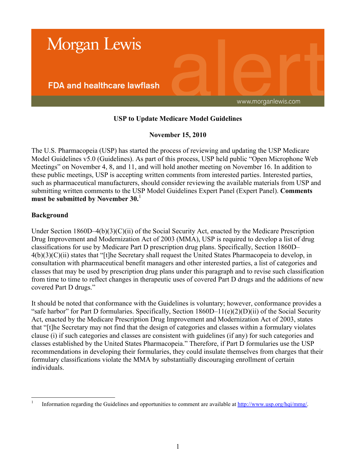

# **USP to Update Medicare Model Guidelines**

## **November 15, 2010**

The U.S. Pharmacopeia (USP) has started the process of reviewing and updating the USP Medicare Model Guidelines v5.0 (Guidelines). As part of this process, USP held public "Open Microphone Web Meetings" on November 4, 8, and 11, and will hold another meeting on November 16. In addition to these public meetings, USP is accepting written comments from interested parties. Interested parties, such as pharmaceutical manufacturers, should consider reviewing the available materials from USP and submitting written comments to the USP Model Guidelines Expert Panel (Expert Panel). **Comments must be submitted by November 30.**<sup>1</sup>

## **Background**

 $\frac{1}{1}$ 

Under Section 1860D–4(b)(3)(C)(ii) of the Social Security Act, enacted by the Medicare Prescription Drug Improvement and Modernization Act of 2003 (MMA), USP is required to develop a list of drug classifications for use by Medicare Part D prescription drug plans. Specifically, Section 1860D– 4(b)(3)(C)(ii) states that "[t]he Secretary shall request the United States Pharmacopeia to develop, in consultation with pharmaceutical benefit managers and other interested parties, a list of categories and classes that may be used by prescription drug plans under this paragraph and to revise such classification from time to time to reflect changes in therapeutic uses of covered Part D drugs and the additions of new covered Part D drugs."

It should be noted that conformance with the Guidelines is voluntary; however, conformance provides a "safe harbor" for Part D formularies. Specifically, Section 1860D–11(e)(2)(D)(ii) of the Social Security Act, enacted by the Medicare Prescription Drug Improvement and Modernization Act of 2003, states that "[t]he Secretary may not find that the design of categories and classes within a formulary violates clause (i) if such categories and classes are consistent with guidelines (if any) for such categories and classes established by the United States Pharmacopeia." Therefore, if Part D formularies use the USP recommendations in developing their formularies, they could insulate themselves from charges that their formulary classifications violate the MMA by substantially discouraging enrollment of certain individuals.

Information regarding the Guidelines and opportunities to comment are available at [http://www.usp.org/hqi/mmg/.](http://www.usp.org/hqi/mmg/)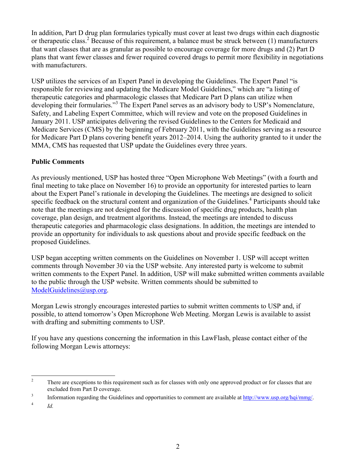In addition, Part D drug plan formularies typically must cover at least two drugs within each diagnostic or therapeutic class.<sup>2</sup> Because of this requirement, a balance must be struck between  $(1)$  manufacturers that want classes that are as granular as possible to encourage coverage for more drugs and (2) Part D plans that want fewer classes and fewer required covered drugs to permit more flexibility in negotiations with manufacturers.

USP utilizes the services of an Expert Panel in developing the Guidelines. The Expert Panel "is responsible for reviewing and updating the Medicare Model Guidelines," which are "a listing of therapeutic categories and pharmacologic classes that Medicare Part D plans can utilize when developing their formularies."<sup>3</sup> The Expert Panel serves as an advisory body to USP's Nomenclature, Safety, and Labeling Expert Committee, which will review and vote on the proposed Guidelines in January 2011. USP anticipates delivering the revised Guidelines to the Centers for Medicaid and Medicare Services (CMS) by the beginning of February 2011, with the Guidelines serving as a resource for Medicare Part D plans covering benefit years 2012–2014. Using the authority granted to it under the MMA, CMS has requested that USP update the Guidelines every three years.

## **Public Comments**

As previously mentioned, USP has hosted three "Open Microphone Web Meetings" (with a fourth and final meeting to take place on November 16) to provide an opportunity for interested parties to learn about the Expert Panel's rationale in developing the Guidelines. The meetings are designed to solicit specific feedback on the structural content and organization of the Guidelines.<sup>4</sup> Participants should take note that the meetings are not designed for the discussion of specific drug products, health plan coverage, plan design, and treatment algorithms. Instead, the meetings are intended to discuss therapeutic categories and pharmacologic class designations. In addition, the meetings are intended to provide an opportunity for individuals to ask questions about and provide specific feedback on the proposed Guidelines.

USP began accepting written comments on the Guidelines on November 1. USP will accept written comments through November 30 via the USP website. Any interested party is welcome to submit written comments to the Expert Panel. In addition, USP will make submitted written comments available to the public through the USP website. Written comments should be submitted to [ModelGuidelines@usp.org.](mailto:ModelGuidelines@usp.org)

Morgan Lewis strongly encourages interested parties to submit written comments to USP and, if possible, to attend tomorrow's Open Microphone Web Meeting. Morgan Lewis is available to assist with drafting and submitting comments to USP.

If you have any questions concerning the information in this LawFlash, please contact either of the following Morgan Lewis attorneys:

3 Information regarding the Guidelines and opportunities to comment are available at [http://www.usp.org/hqi/mmg/.](http://www.usp.org/hqi/mmg/)

4 *Id.*

 $\overline{c}$ <sup>2</sup> There are exceptions to this requirement such as for classes with only one approved product or for classes that are excluded from Part D coverage.